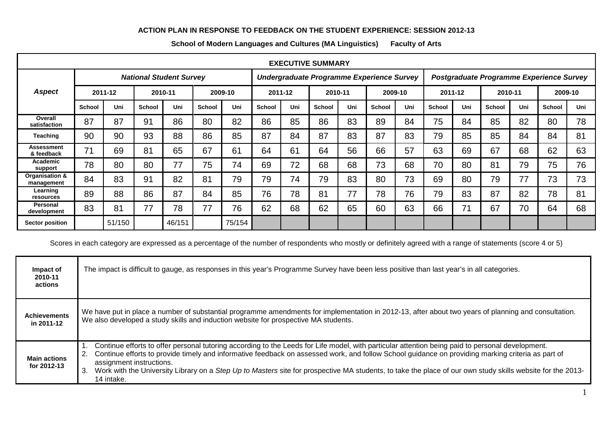## **ACTION PLAN IN RESPONSE TO FEEDBACK ON THE STUDENT EXPERIENCE: SESSION 2012-13**

| <b>EXECUTIVE SUMMARY</b>        |                                |        |         |        |               |        |                                           |     |               |     |         |     |                                          |     |               |     |               |     |
|---------------------------------|--------------------------------|--------|---------|--------|---------------|--------|-------------------------------------------|-----|---------------|-----|---------|-----|------------------------------------------|-----|---------------|-----|---------------|-----|
|                                 | <b>National Student Survey</b> |        |         |        |               |        | Undergraduate Programme Experience Survey |     |               |     |         |     | Postgraduate Programme Experience Survey |     |               |     |               |     |
| <b>Aspect</b>                   | 2011-12                        |        | 2010-11 |        | 2009-10       |        | 2011-12                                   |     | 2010-11       |     | 2009-10 |     | 2011-12                                  |     | 2010-11       |     | 2009-10       |     |
|                                 | <b>School</b>                  | Uni    | School  | Uni    | <b>School</b> | Uni    | <b>School</b>                             | Uni | <b>School</b> | Uni | School  | Uni | <b>School</b>                            | Uni | <b>School</b> | Uni | <b>School</b> | Uni |
| Overall<br>satisfaction         | 87                             | 87     | 91      | 86     | 80            | 82     | 86                                        | 85  | 86            | 83  | 89      | 84  | 75                                       | 84  | 85            | 82  | 80            | 78  |
| <b>Teaching</b>                 | 90                             | 90     | 93      | 88     | 86            | 85     | 87                                        | 84  | 87            | 83  | 87      | 83  | 79                                       | 85  | 85            | 84  | 84            | 81  |
| <b>Assessment</b><br>& feedback | 71                             | 69     | 81      | 65     | 67            | 61     | 64                                        | 61  | 64            | 56  | 66      | 57  | 63                                       | 69  | 67            | 68  | 62            | 63  |
| Academic<br>support             | 78                             | 80     | 80      | 77     | 75            | 74     | 69                                        | 72  | 68            | 68  | 73      | 68  | 70                                       | 80  | 81            | 79  | 75            | 76  |
| Organisation &<br>management    | 84                             | 83     | 91      | 82     | 81            | 79     | 79                                        | 74  | 79            | 83  | 80      | 73  | 69                                       | 80  | 79            | 77  | 73            | 73  |
| Learning<br>resources           | 89                             | 88     | 86      | 87     | 84            | 85     | 76                                        | 78  | 81            | 77  | 78      | 76  | 79                                       | 83  | 87            | 82  | 78            | 81  |
| <b>Personal</b><br>development  | 83                             | 81     | 77      | 78     | 77            | 76     | 62                                        | 68  | 62            | 65  | 60      | 63  | 66                                       | 71  | 67            | 70  | 64            | 68  |
| <b>Sector position</b>          |                                | 51/150 |         | 46/151 |               | 75/154 |                                           |     |               |     |         |     |                                          |     |               |     |               |     |

**School of Modern Languages and Cultures (MA Linguistics) Faculty of Arts**

Scores in each category are expressed as a percentage of the number of respondents who mostly or definitely agreed with a range of statements (score 4 or 5)

| Impact of<br>2010-11<br>actions    | The impact is difficult to gauge, as responses in this year's Programme Survey have been less positive than last year's in all categories.                                                                                                                                                                                                                                                                                                                                                                                |
|------------------------------------|---------------------------------------------------------------------------------------------------------------------------------------------------------------------------------------------------------------------------------------------------------------------------------------------------------------------------------------------------------------------------------------------------------------------------------------------------------------------------------------------------------------------------|
| <b>Achievements</b><br>in 2011-12  | We have put in place a number of substantial programme amendments for implementation in 2012-13, after about two years of planning and consultation.<br>We also developed a study skills and induction website for prospective MA students.                                                                                                                                                                                                                                                                               |
| <b>Main actions</b><br>for 2012-13 | Continue efforts to offer personal tutoring according to the Leeds for Life model, with particular attention being paid to personal development.<br>Continue efforts to provide timely and informative feedback on assessed work, and follow School guidance on providing marking criteria as part of<br>2.<br>assignment instructions.<br>Work with the University Library on a Step Up to Masters site for prospective MA students, to take the place of our own study skills website for the 2013-<br>3.<br>14 intake. |